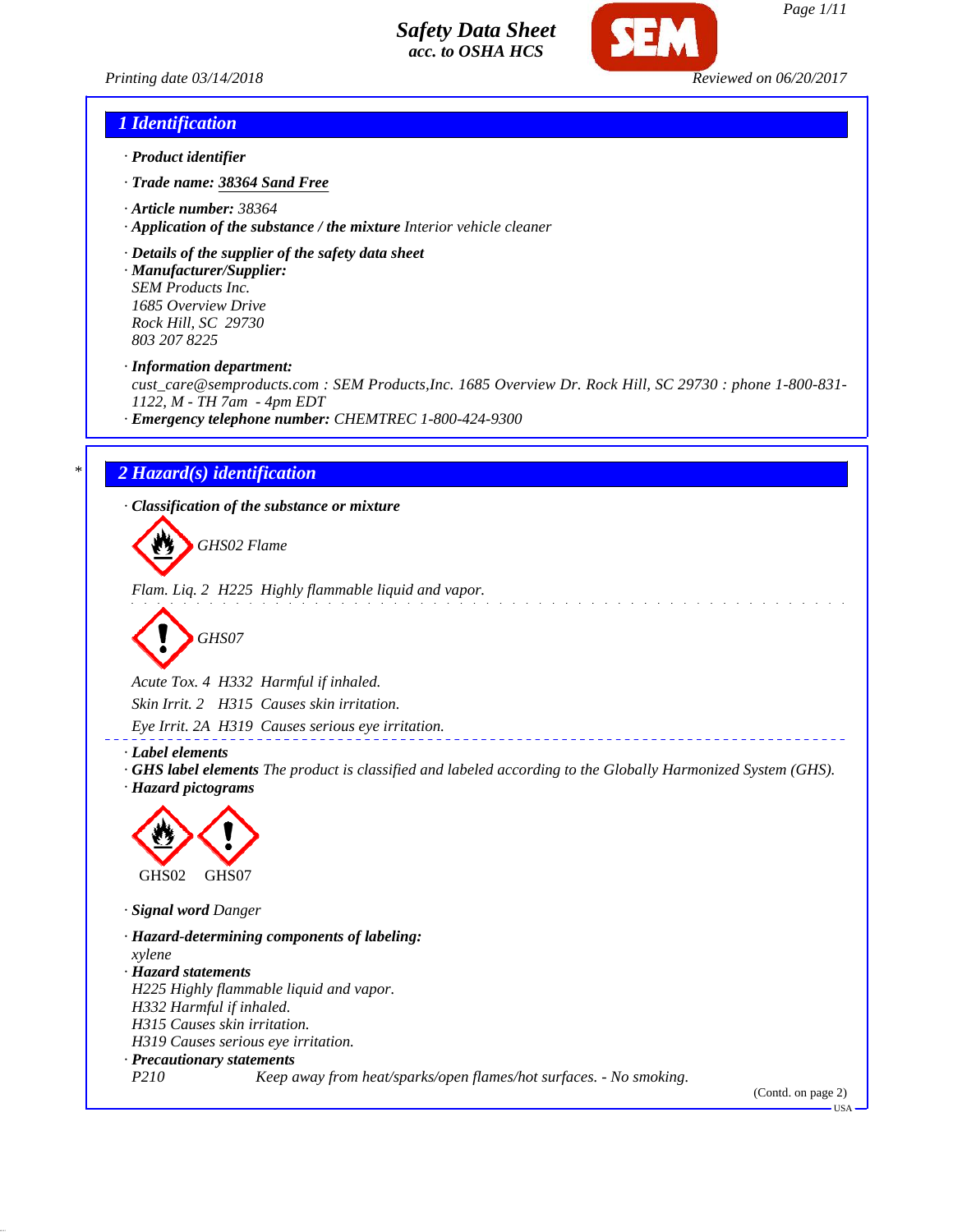



## *1 Identification*

- *· Product identifier*
- *· Trade name: 38364 Sand Free*
- *· Article number: 38364*
- *· Application of the substance / the mixture Interior vehicle cleaner*
- *· Details of the supplier of the safety data sheet*

*· Manufacturer/Supplier: SEM Products Inc. 1685 Overview Drive Rock Hill, SC 29730 803 207 8225*

*· Information department:*

*cust\_care@semproducts.com : SEM Products,Inc. 1685 Overview Dr. Rock Hill, SC 29730 : phone 1-800-831- 1122, M - TH 7am - 4pm EDT*

*· Emergency telephone number: CHEMTREC 1-800-424-9300*

## *\* 2 Hazard(s) identification*

*· Classification of the substance or mixture*

*GHS02 Flame*

*Flam. Liq. 2 H225 Highly flammable liquid and vapor.*

$$
\bigotimes \text{GHSO7}
$$

*Acute Tox. 4 H332 Harmful if inhaled. Skin Irrit. 2 H315 Causes skin irritation. Eye Irrit. 2A H319 Causes serious eye irritation.*

*· Label elements*

*· GHS label elements The product is classified and labeled according to the Globally Harmonized System (GHS). · Hazard pictograms*



*· Signal word Danger*

*· Hazard-determining components of labeling: xylene · Hazard statements H225 Highly flammable liquid and vapor. H332 Harmful if inhaled. H315 Causes skin irritation. H319 Causes serious eye irritation. · Precautionary statements P210 Keep away from heat/sparks/open flames/hot surfaces. - No smoking.*

(Contd. on page 2)

USA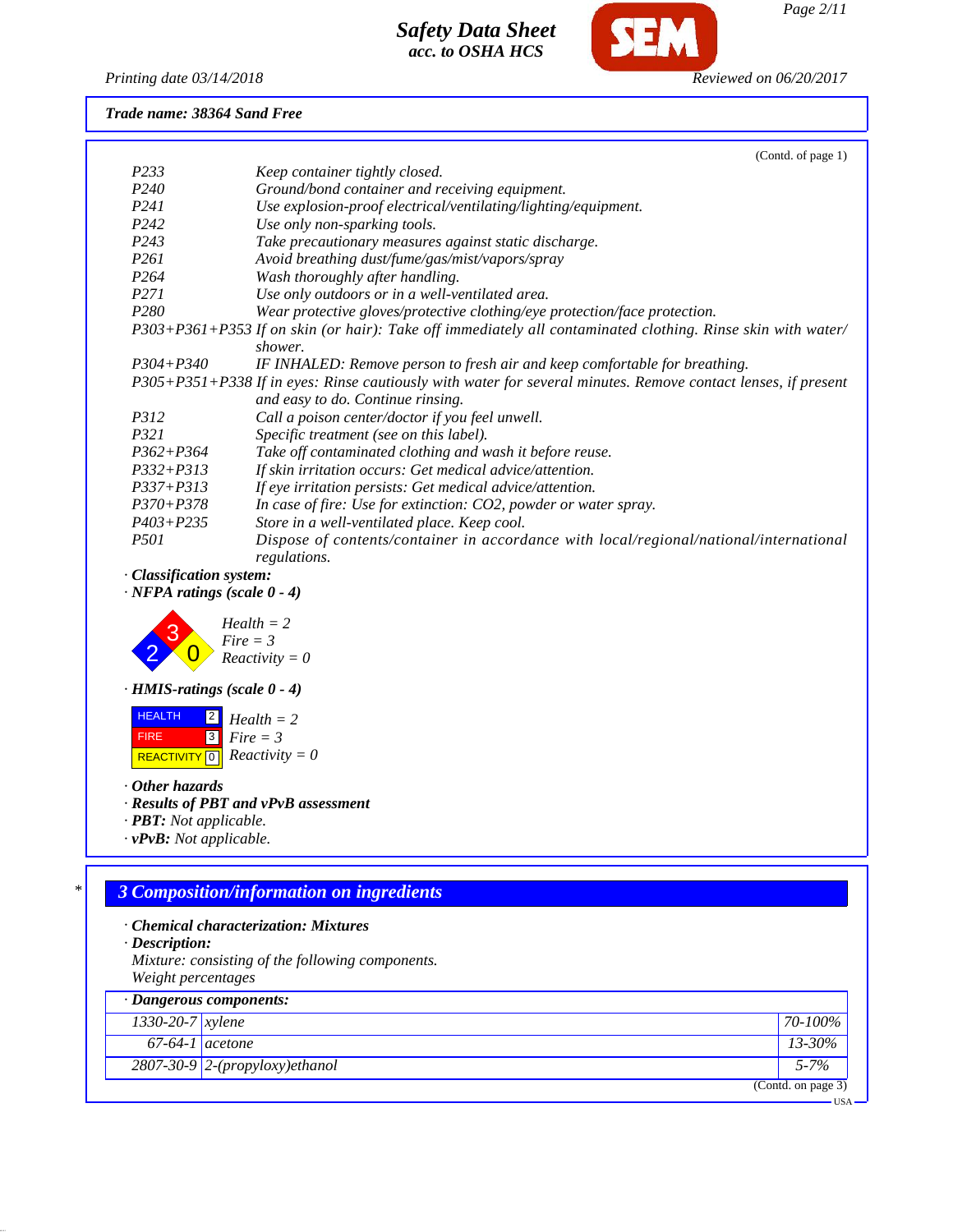

*Printing date 03/14/2018 Reviewed on 06/20/2017*

## *Trade name: 38364 Sand Free*

|                  | (Contd. of page 1)                                                                                            |
|------------------|---------------------------------------------------------------------------------------------------------------|
| P233             | Keep container tightly closed.                                                                                |
| P <sub>240</sub> | Ground/bond container and receiving equipment.                                                                |
| P <sub>241</sub> | Use explosion-proof electrical/ventilating/lighting/equipment.                                                |
| P <sub>242</sub> | Use only non-sparking tools.                                                                                  |
| P <sub>243</sub> | Take precautionary measures against static discharge.                                                         |
| <i>P261</i>      | Avoid breathing dust/fume/gas/mist/vapors/spray                                                               |
| P <sub>264</sub> | Wash thoroughly after handling.                                                                               |
| <i>P271</i>      | Use only outdoors or in a well-ventilated area.                                                               |
| P <sub>280</sub> | Wear protective gloves/protective clothing/eye protection/face protection.                                    |
|                  | P303+P361+P353 If on skin (or hair): Take off immediately all contaminated clothing. Rinse skin with water/   |
|                  | shower.                                                                                                       |
| $P304 + P340$    | IF INHALED: Remove person to fresh air and keep comfortable for breathing.                                    |
|                  | P305+P351+P338 If in eyes: Rinse cautiously with water for several minutes. Remove contact lenses, if present |
|                  | and easy to do. Continue rinsing.                                                                             |
| <i>P312</i>      | Call a poison center/doctor if you feel unwell.                                                               |
| <i>P321</i>      | Specific treatment (see on this label).                                                                       |
| $P362 + P364$    | Take off contaminated clothing and wash it before reuse.                                                      |
| $P332 + P313$    | If skin irritation occurs: Get medical advice/attention.                                                      |
| $P337 + P313$    | If eye irritation persists: Get medical advice/attention.                                                     |
| $P370 + P378$    | In case of fire: Use for extinction: CO2, powder or water spray.                                              |
| $P403 + P235$    | Store in a well-ventilated place. Keep cool.                                                                  |
| <i>P501</i>      | Dispose of contents/container in accordance with local/regional/national/international<br>regulations.        |

*· Classification system:*

*· NFPA ratings (scale 0 - 4)*



*· HMIS-ratings (scale 0 - 4)*

 HEALTH FIRE  $\boxed{\text{REACTIVITY} \boxed{0}}$  *Reactivity* = 0 2 *Health = 2* 3 *Fire = 3*

*· Other hazards*

*· Results of PBT and vPvB assessment*

- *· PBT: Not applicable.*
- *· vPvB: Not applicable.*

# *\* 3 Composition/information on ingredients*

- *· Chemical characterization: Mixtures*
- *· Description:*
- *Mixture: consisting of the following components. Weight percentages*

|                        | $\cdot$ Dangerous components:    |                    |
|------------------------|----------------------------------|--------------------|
| $1330 - 20 - 7$ xylene |                                  | $70 - 100\%$       |
| $67-64-1$ acetone      |                                  | $13 - 30\%$        |
|                        | $2807-30-9$ 2-(propyloxy)ethanol | $5 - 7\%$          |
|                        |                                  | (Contd. on page 3) |
|                        |                                  | <b>HSA</b>         |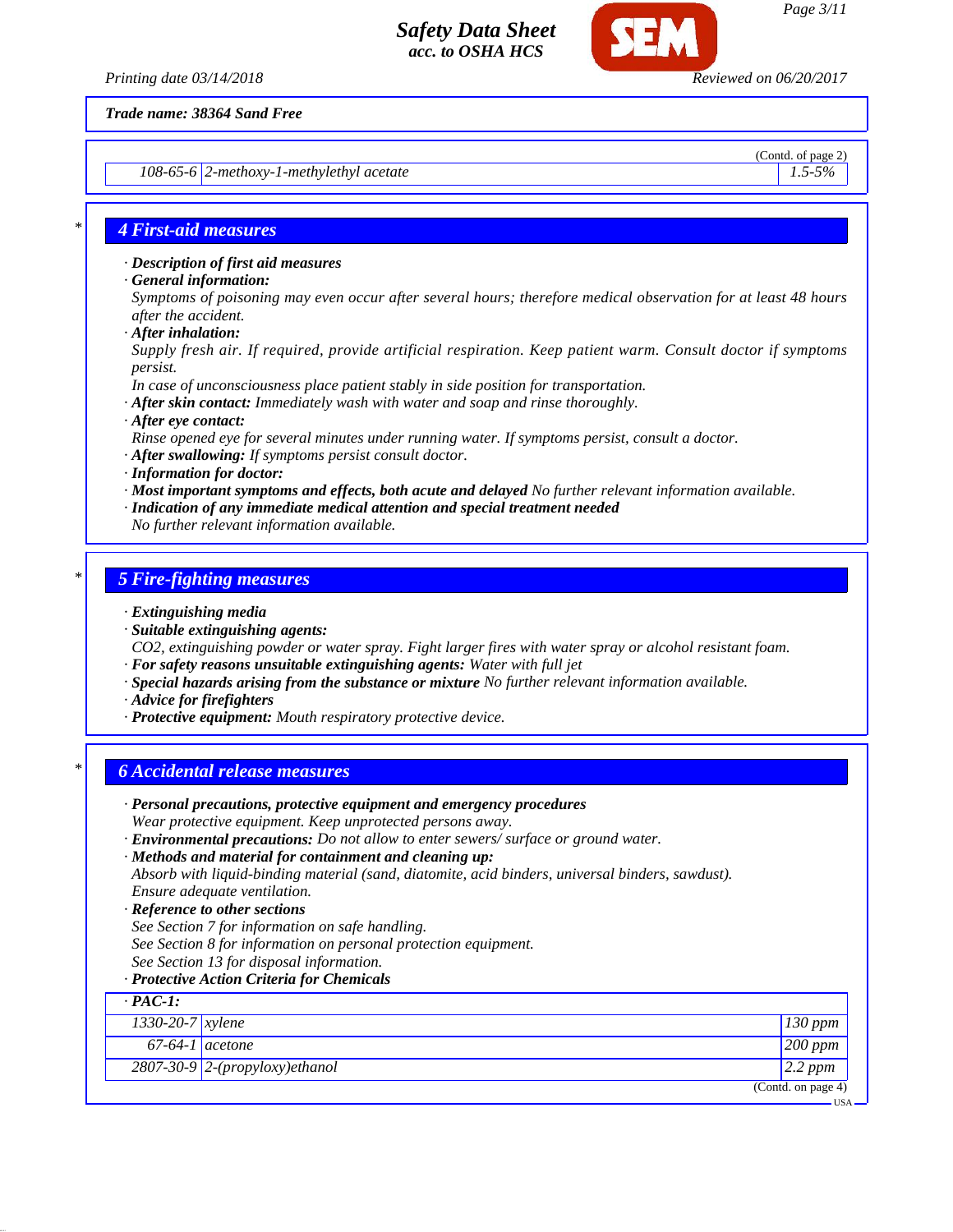

*108-65-6 2-methoxy-1-methylethyl acetate 1.5-5%*

(Contd. of page 2)

### *\* 4 First-aid measures*

*· Description of first aid measures*

*· General information:*

*Symptoms of poisoning may even occur after several hours; therefore medical observation for at least 48 hours after the accident.*

*· After inhalation:*

*Supply fresh air. If required, provide artificial respiration. Keep patient warm. Consult doctor if symptoms persist.*

- *In case of unconsciousness place patient stably in side position for transportation.*
- *· After skin contact: Immediately wash with water and soap and rinse thoroughly.*
- *· After eye contact:*

*Rinse opened eye for several minutes under running water. If symptoms persist, consult a doctor.*

- *· After swallowing: If symptoms persist consult doctor.*
- *· Information for doctor:*
- *· Most important symptoms and effects, both acute and delayed No further relevant information available.*
- *· Indication of any immediate medical attention and special treatment needed*
- *No further relevant information available.*

### *\* 5 Fire-fighting measures*

- *· Extinguishing media*
- *· Suitable extinguishing agents:*

*CO2, extinguishing powder or water spray. Fight larger fires with water spray or alcohol resistant foam. · For safety reasons unsuitable extinguishing agents: Water with full jet*

- *· Special hazards arising from the substance or mixture No further relevant information available.*
- *· Advice for firefighters*
- *· Protective equipment: Mouth respiratory protective device.*

# *\* 6 Accidental release measures*

- *· Personal precautions, protective equipment and emergency procedures Wear protective equipment. Keep unprotected persons away.*
- *· Environmental precautions: Do not allow to enter sewers/ surface or ground water.*
- *· Methods and material for containment and cleaning up:*

*Absorb with liquid-binding material (sand, diatomite, acid binders, universal binders, sawdust). Ensure adequate ventilation.*

- *· Reference to other sections*
- *See Section 7 for information on safe handling.*
- *See Section 8 for information on personal protection equipment.*
- *See Section 13 for disposal information.*
- *· Protective Action Criteria for Chemicals*

| $\cdot$ PAC-1:     |                                  |                       |
|--------------------|----------------------------------|-----------------------|
| 1330-20-7 $xylene$ |                                  | $130$ ppm             |
| $67-64-1$ acetone  |                                  | $200$ ppm             |
|                    | $2807-30-9$ 2-(propyloxy)ethanol | $2.2$ ppm             |
|                    |                                  | (Contd. on page $4$ ) |
|                    |                                  | <b>IISA</b>           |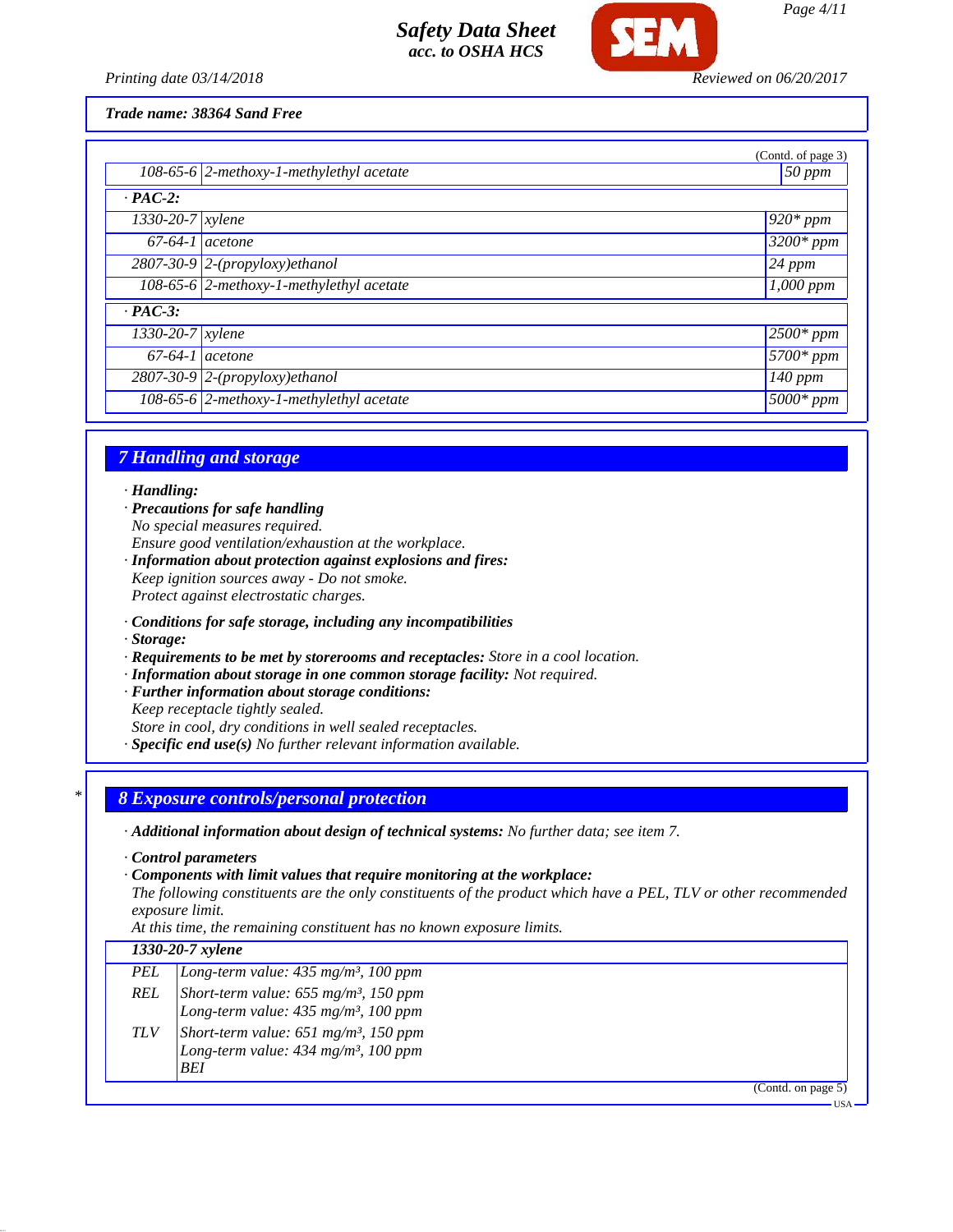

*Printing date 03/14/2018 Reviewed on 06/20/2017*

*Trade name: 38364 Sand Free*

|                        |                                              | (Contd. of page 3)     |
|------------------------|----------------------------------------------|------------------------|
|                        | 108-65-6 $ 2$ -methoxy-1-methylethyl acetate | $50$ ppm               |
| $\cdot$ PAC-2:         |                                              |                        |
| $1330-20-7$ xylene     |                                              | 1 <sup>920*</sup> ppm  |
| $67-64-1$ acetone      |                                              | $\sqrt{3200*ppm}$      |
|                        | $2807-30-9$ 2-(propyloxy)ethanol             | $124$ ppm              |
|                        | 108-65-6 2-methoxy-1-methylethyl acetate     | $\overline{1,}000$ ppm |
| $\cdot$ PAC-3:         |                                              |                        |
| $1330 - 20 - 7$ xylene |                                              | $12500*ppm$            |
| $67-64-1$ acetone      |                                              | $\sqrt{5700}$ * ppm    |
|                        | $2807-30-9$ 2-(propyloxy)ethanol             | $140$ ppm              |
|                        | 108-65-6 2-methoxy-1-methylethyl acetate     | $5000*$ ppm            |

# *7 Handling and storage*

*· Handling:*

- *· Precautions for safe handling No special measures required. Ensure good ventilation/exhaustion at the workplace.*
- *· Information about protection against explosions and fires: Keep ignition sources away - Do not smoke.*

*Protect against electrostatic charges.*

- *· Conditions for safe storage, including any incompatibilities*
- *· Storage:*
- *· Requirements to be met by storerooms and receptacles: Store in a cool location.*
- *· Information about storage in one common storage facility: Not required.*
- *· Further information about storage conditions:*
- *Keep receptacle tightly sealed.*
- *Store in cool, dry conditions in well sealed receptacles.*
- *· Specific end use(s) No further relevant information available.*

# *\* 8 Exposure controls/personal protection*

*· Additional information about design of technical systems: No further data; see item 7.*

- *· Control parameters*
- *· Components with limit values that require monitoring at the workplace:*

*The following constituents are the only constituents of the product which have a PEL, TLV or other recommended exposure limit.*

*At this time, the remaining constituent has no known exposure limits.*

| 1330-20-7 xylene |                                                                                                                                                                                                                           |           |
|------------------|---------------------------------------------------------------------------------------------------------------------------------------------------------------------------------------------------------------------------|-----------|
| PEL              | Long-term value: $435$ mg/m <sup>3</sup> , 100 ppm                                                                                                                                                                        |           |
|                  |                                                                                                                                                                                                                           |           |
|                  | REL Short-term value: $655 \text{ mg/m}^3$ , 150 ppm<br>Long-term value: $435 \text{ mg/m}^3$ , 100 ppm<br>TLV Short-term value: $651 \text{ mg/m}^3$ , 150 ppm<br>Long-term value: $434 \text{ mg/m}^3$ , 100 ppm<br>BEI |           |
|                  |                                                                                                                                                                                                                           | Contd. on |

 $page 5)$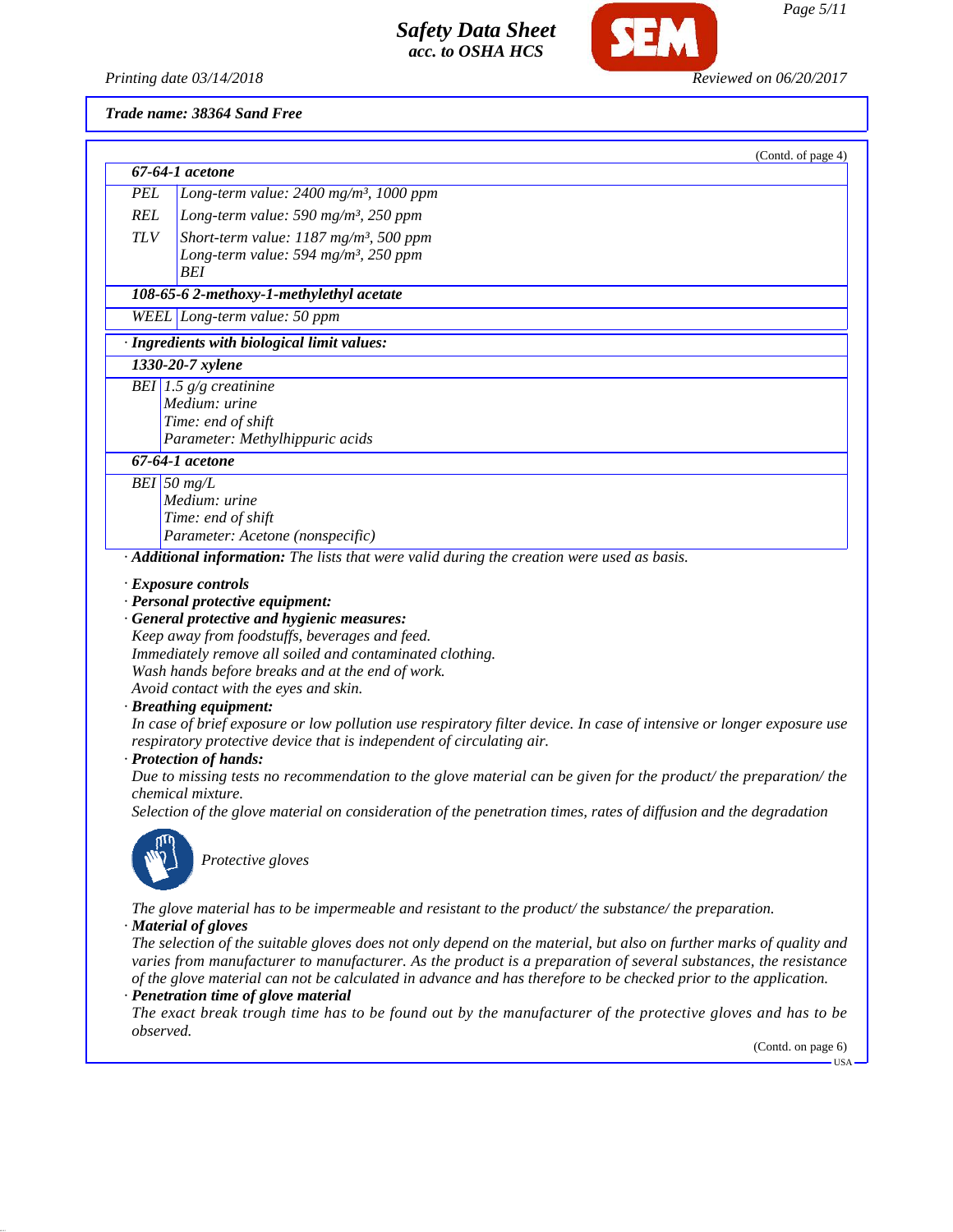

#### *Trade name: 38364 Sand Free*

|            | (Contd. of page 4)                                                                          |
|------------|---------------------------------------------------------------------------------------------|
|            | 67-64-1 acetone                                                                             |
| <b>PEL</b> | Long-term value: $2400$ mg/m <sup>3</sup> , 1000 ppm                                        |
| <b>REL</b> | Long-term value: 590 mg/m <sup>3</sup> , 250 ppm                                            |
| <b>TLV</b> | Short-term value: $1187$ mg/m <sup>3</sup> , 500 ppm                                        |
|            | Long-term value: 594 mg/m <sup>3</sup> , 250 ppm                                            |
|            | <b>BEI</b>                                                                                  |
|            | 108-65-6 2-methoxy-1-methylethyl acetate                                                    |
|            | WEEL Long-term value: 50 ppm                                                                |
|            | · Ingredients with biological limit values:                                                 |
|            | 1330-20-7 xylene                                                                            |
|            | BEI 1.5 $g/g$ creatinine                                                                    |
|            | Medium: urine                                                                               |
|            | Time: end of shift                                                                          |
|            | Parameter: Methylhippuric acids                                                             |
|            | 67-64-1 acetone                                                                             |
|            | $BEI$ 50 mg/L                                                                               |
|            | Medium: urine                                                                               |
|            | Time: end of shift                                                                          |
|            | Parameter: Acetone (nonspecific)                                                            |
|            | · Additional information: The lists that were valid during the creation were used as basis. |
|            |                                                                                             |
|            | $\cdot$ Exposure controls<br>· Personal protective equipment:                               |
|            | · General protective and hygienic measures:                                                 |
|            | Keep away from foodstuffs, beverages and feed.                                              |
|            | Immediately remove all soiled and contaminated clothing.                                    |
|            | Wash hands before breaks and at the end of work.                                            |
|            | Avoid contact with the eyes and skin.                                                       |

### *· Breathing equipment:*

*In case of brief exposure or low pollution use respiratory filter device. In case of intensive or longer exposure use respiratory protective device that is independent of circulating air.*

#### *· Protection of hands:*

*Due to missing tests no recommendation to the glove material can be given for the product/ the preparation/ the chemical mixture.*

*Selection of the glove material on consideration of the penetration times, rates of diffusion and the degradation*



*Protective gloves*

*The glove material has to be impermeable and resistant to the product/ the substance/ the preparation. · Material of gloves*

*The selection of the suitable gloves does not only depend on the material, but also on further marks of quality and varies from manufacturer to manufacturer. As the product is a preparation of several substances, the resistance of the glove material can not be calculated in advance and has therefore to be checked prior to the application.*

## *· Penetration time of glove material*

*The exact break trough time has to be found out by the manufacturer of the protective gloves and has to be observed.*

(Contd. on page 6)

USA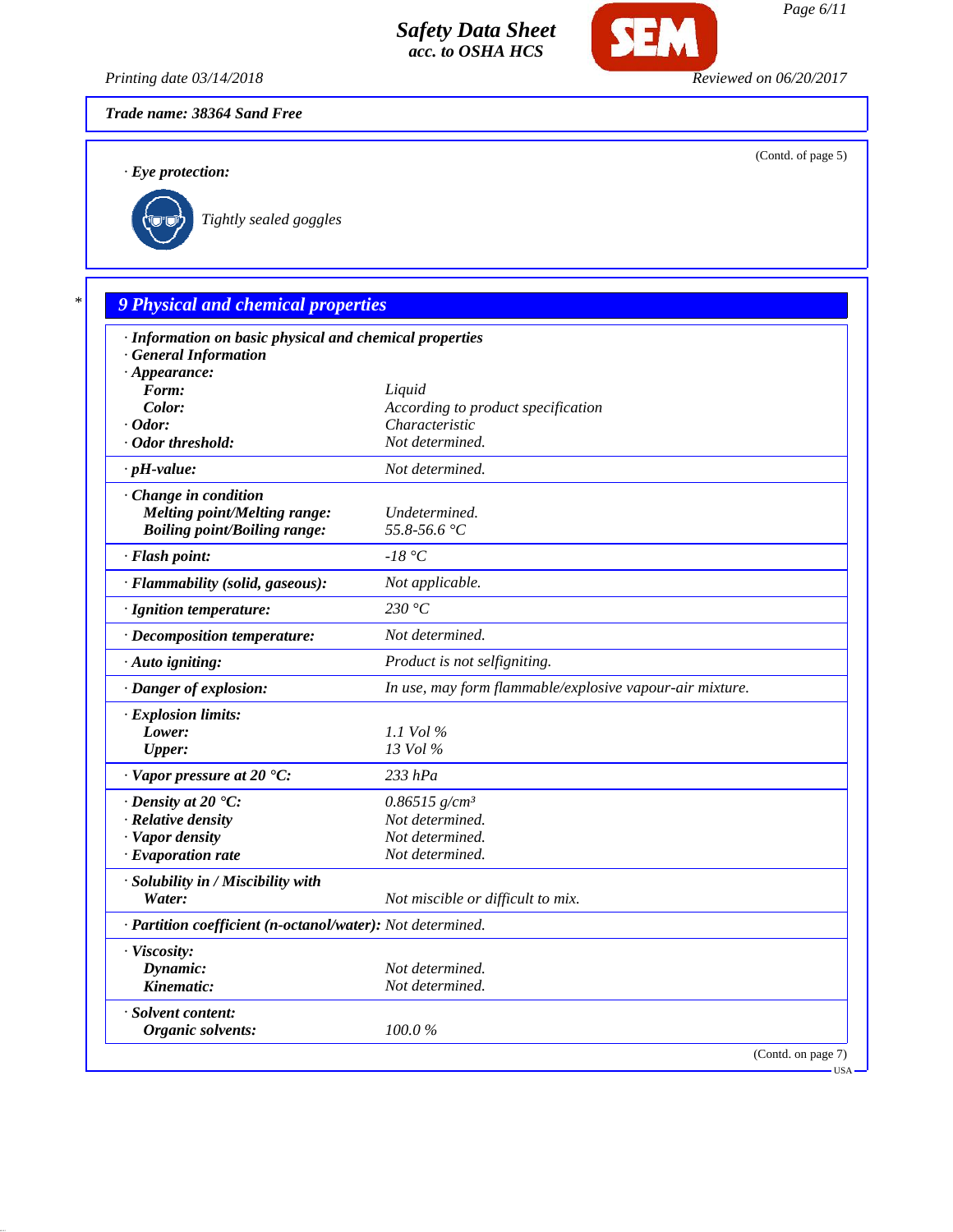

*Printing date 03/14/2018 Reviewed on 06/20/2017*

*Trade name: 38364 Sand Free*

*· Eye protection:*

(Contd. of page 5)



*\* 9 Physical and chemical properties · Information on basic physical and chemical properties · General Information · Appearance: Form: Liquid Color: According to product specification · Odor: Characteristic · Odor threshold: Not determined. · pH-value: Not determined. · Change in condition Melting point/Melting range: Undetermined. Boiling point/Boiling range: 55.8-56.6 °C · Flash point: -18 °C · Flammability (solid, gaseous): Not applicable. · Ignition temperature: 230 °C · Decomposition temperature: Not determined. · Auto igniting: Product is not selfigniting. · Danger of explosion: In use, may form flammable/explosive vapour-air mixture. · Explosion limits: Lower: 1.1 Vol % Upper: 13 Vol % · Vapor pressure at 20 °C: 233 hPa · Density at 20 °C: 0.86515 g/cm³ · Relative density Not determined. · Vapor density Not determined. · Evaporation rate Not determined. · Solubility in / Miscibility with Water: Not miscible or difficult to mix. · Partition coefficient (n-octanol/water): Not determined. · Viscosity: Dynamic: Not determined. Kinematic: Not determined. · Solvent content: Organic solvents: 100.0 %*

(Contd. on page 7)

USA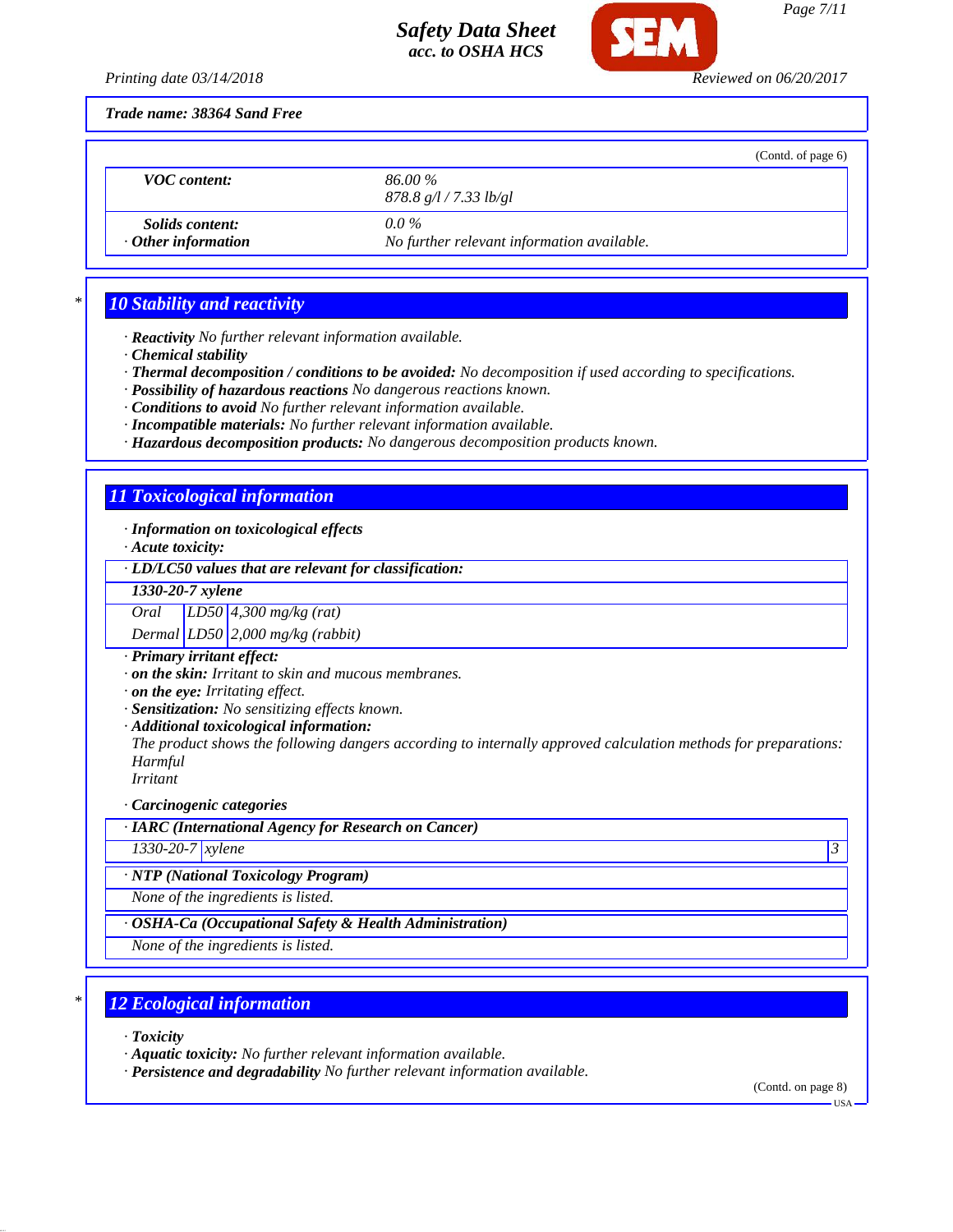

*Printing date 03/14/2018 Reviewed on 06/20/2017*

*Trade name: 38364 Sand Free*

|                                                     | (Contd. of page $6$ )                                 |
|-----------------------------------------------------|-------------------------------------------------------|
| <b>VOC</b> content:                                 | 86.00 %<br>878.8 g/l / 7.33 lb/gl                     |
| <i>Solids content:</i><br>$\cdot$ Other information | $0.0\%$<br>No further relevant information available. |

## *\* 10 Stability and reactivity*

*· Reactivity No further relevant information available.*

*· Chemical stability*

*· Thermal decomposition / conditions to be avoided: No decomposition if used according to specifications.*

*· Possibility of hazardous reactions No dangerous reactions known.*

*· Conditions to avoid No further relevant information available.*

*· Incompatible materials: No further relevant information available.*

*· Hazardous decomposition products: No dangerous decomposition products known.*

## *11 Toxicological information*

*· Information on toxicological effects*

*· Acute toxicity:*

*· LD/LC50 values that are relevant for classification:*

*1330-20-7 xylene*

*Oral LD50 4,300 mg/kg (rat)*

*Dermal LD50 2,000 mg/kg (rabbit)*

*· Primary irritant effect:*

*· on the skin: Irritant to skin and mucous membranes.*

*· on the eye: Irritating effect.*

*· Sensitization: No sensitizing effects known.*

*· Additional toxicological information:*

*The product shows the following dangers according to internally approved calculation methods for preparations: Harmful*

*Irritant*

*· Carcinogenic categories*

*· IARC (International Agency for Research on Cancer)*

*1330-20-7 xylene 3* 

*· NTP (National Toxicology Program)*

*None of the ingredients is listed.*

*· OSHA-Ca (Occupational Safety & Health Administration)*

*None of the ingredients is listed.*

## *\* 12 Ecological information*

*· Toxicity*

*· Aquatic toxicity: No further relevant information available.*

*· Persistence and degradability No further relevant information available.*

(Contd. on page 8)

 $-11S_A$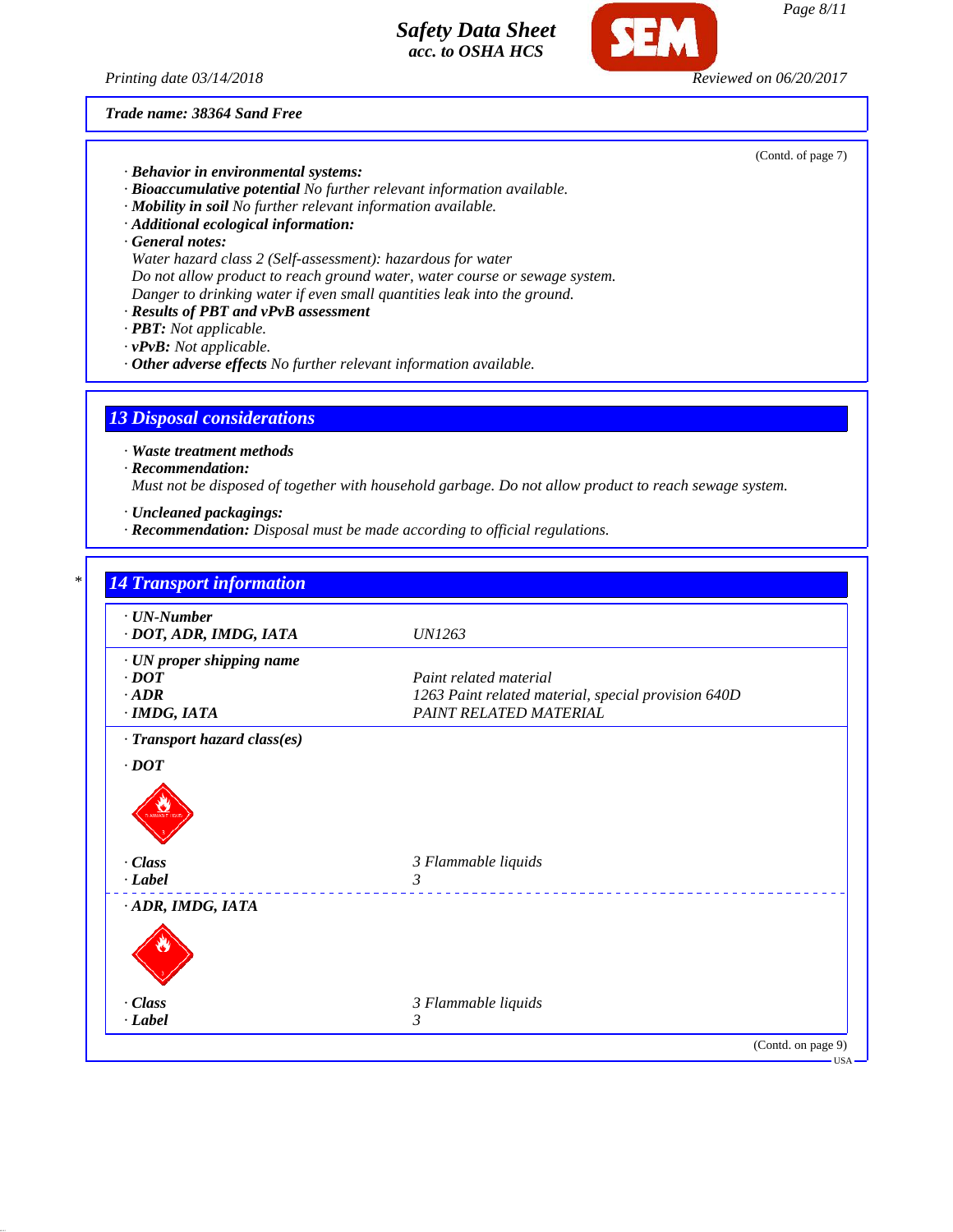*Printing date 03/14/2018 Reviewed on 06/20/2017*

*Trade name: 38364 Sand Free*

- *· Behavior in environmental systems:*
- *· Bioaccumulative potential No further relevant information available.*
- *· Mobility in soil No further relevant information available.*
- *· Additional ecological information:*
- *· General notes:*
- *Water hazard class 2 (Self-assessment): hazardous for water Do not allow product to reach ground water, water course or sewage system.*
- *Danger to drinking water if even small quantities leak into the ground.*
- *· Results of PBT and vPvB assessment*
- *· PBT: Not applicable.*
- *· vPvB: Not applicable.*
- *· Other adverse effects No further relevant information available.*

## *13 Disposal considerations*

*· Waste treatment methods*

*· Recommendation:*

*Must not be disposed of together with household garbage. Do not allow product to reach sewage system.*

- *· Uncleaned packagings:*
- *· Recommendation: Disposal must be made according to official regulations.*

| $\cdot$ UN-Number<br>· DOT, ADR, IMDG, IATA | <b>UN1263</b>                                       |
|---------------------------------------------|-----------------------------------------------------|
| · UN proper shipping name                   |                                                     |
| $\cdot$ DOT                                 | Paint related material                              |
| $\cdot$ ADR                                 | 1263 Paint related material, special provision 640D |
| $\cdot$ IMDG, IATA                          | PAINT RELATED MATERIAL                              |
| · Transport hazard class(es)                |                                                     |
| $\cdot$ DOT                                 |                                                     |
| · Class                                     | 3 Flammable liquids                                 |
| $-Label$                                    | 3<br>______________________________                 |
| ADR, IMDG, IATA                             |                                                     |
|                                             |                                                     |
| · Class                                     | 3 Flammable liquids                                 |
|                                             |                                                     |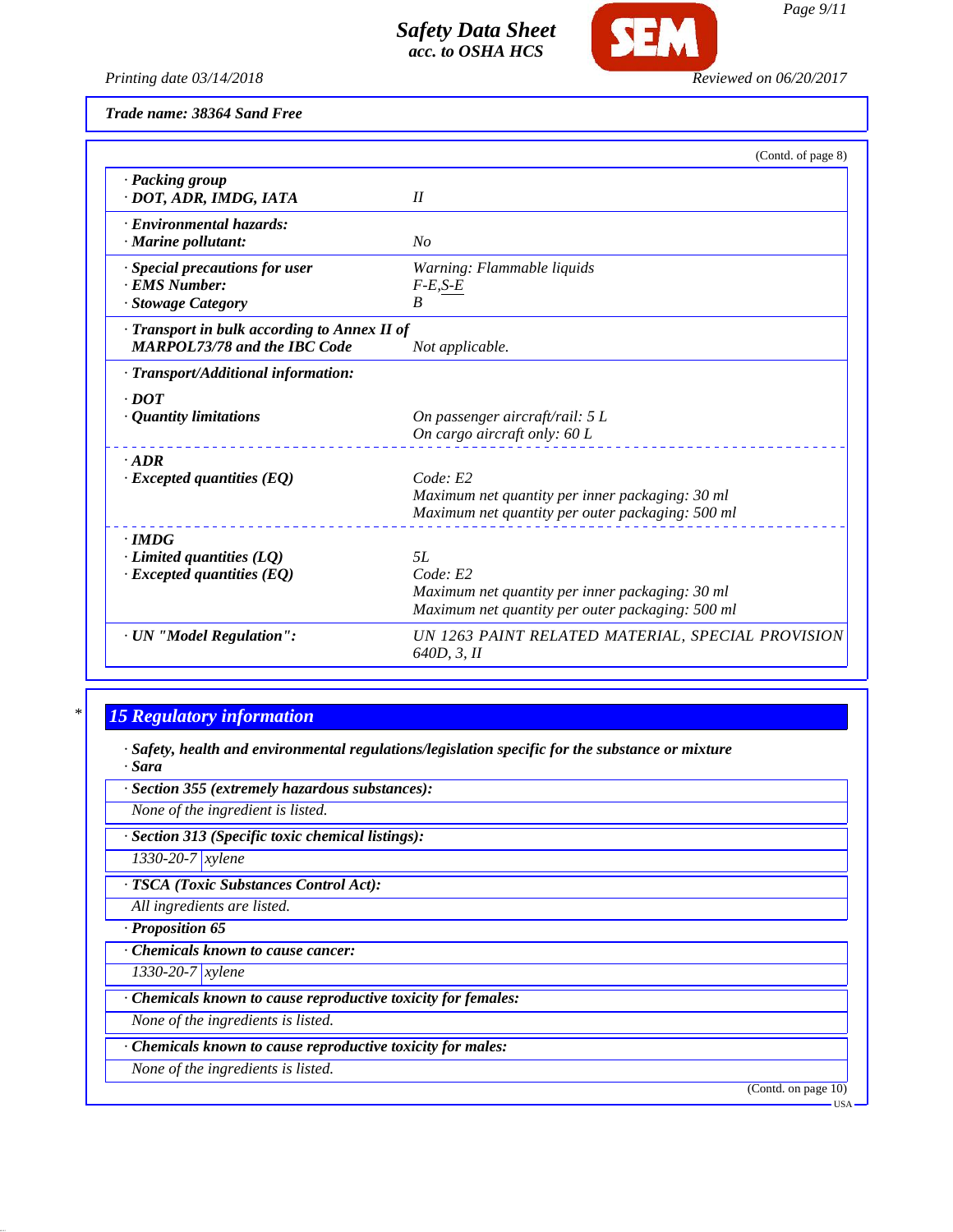

*Page 9/11*

*Printing date 03/14/2018 Reviewed on 06/20/2017*

*Trade name: 38364 Sand Free*

|                                                                                     | (Contd. of page 8)                                                                                                    |
|-------------------------------------------------------------------------------------|-----------------------------------------------------------------------------------------------------------------------|
| · Packing group<br>· DOT, ADR, IMDG, IATA                                           | II                                                                                                                    |
| · Environmental hazards:<br>· Marine pollutant:                                     | No                                                                                                                    |
| · Special precautions for user<br><b>EMS Number:</b><br>· Stowage Category          | Warning: Flammable liquids<br>$F-E, S-E$<br>$\boldsymbol{B}$                                                          |
| · Transport in bulk according to Annex II of<br><b>MARPOL73/78 and the IBC Code</b> | Not applicable.                                                                                                       |
| · Transport/Additional information:                                                 |                                                                                                                       |
| $.$ DOT<br>· Quantity limitations                                                   | On passenger aircraft/rail: 5 L<br>On cargo aircraft only: 60 L                                                       |
| $-ADR$<br>$\cdot$ Excepted quantities (EQ)                                          | Code: E2<br>Maximum net quantity per inner packaging: 30 ml<br>Maximum net quantity per outer packaging: 500 ml       |
| $\cdot$ IMDG<br>$\cdot$ Limited quantities (LQ)<br>$\cdot$ Excepted quantities (EQ) | 5L<br>Code: E2<br>Maximum net quantity per inner packaging: 30 ml<br>Maximum net quantity per outer packaging: 500 ml |
| · UN "Model Regulation":                                                            | UN 1263 PAINT RELATED MATERIAL, SPECIAL PROVISION<br>640D, 3, II                                                      |

# *\* 15 Regulatory information*

*· Safety, health and environmental regulations/legislation specific for the substance or mixture · Sara*

*· Section 355 (extremely hazardous substances):*

*None of the ingredient is listed.*

*· Section 313 (Specific toxic chemical listings):*

*1330-20-7 xylene*

*· TSCA (Toxic Substances Control Act):*

*All ingredients are listed.*

*· Proposition 65*

*· Chemicals known to cause cancer:*

*1330-20-7 xylene*

*· Chemicals known to cause reproductive toxicity for females:*

*None of the ingredients is listed.*

*· Chemicals known to cause reproductive toxicity for males:*

*None of the ingredients is listed.*

(Contd. on page 10)

USA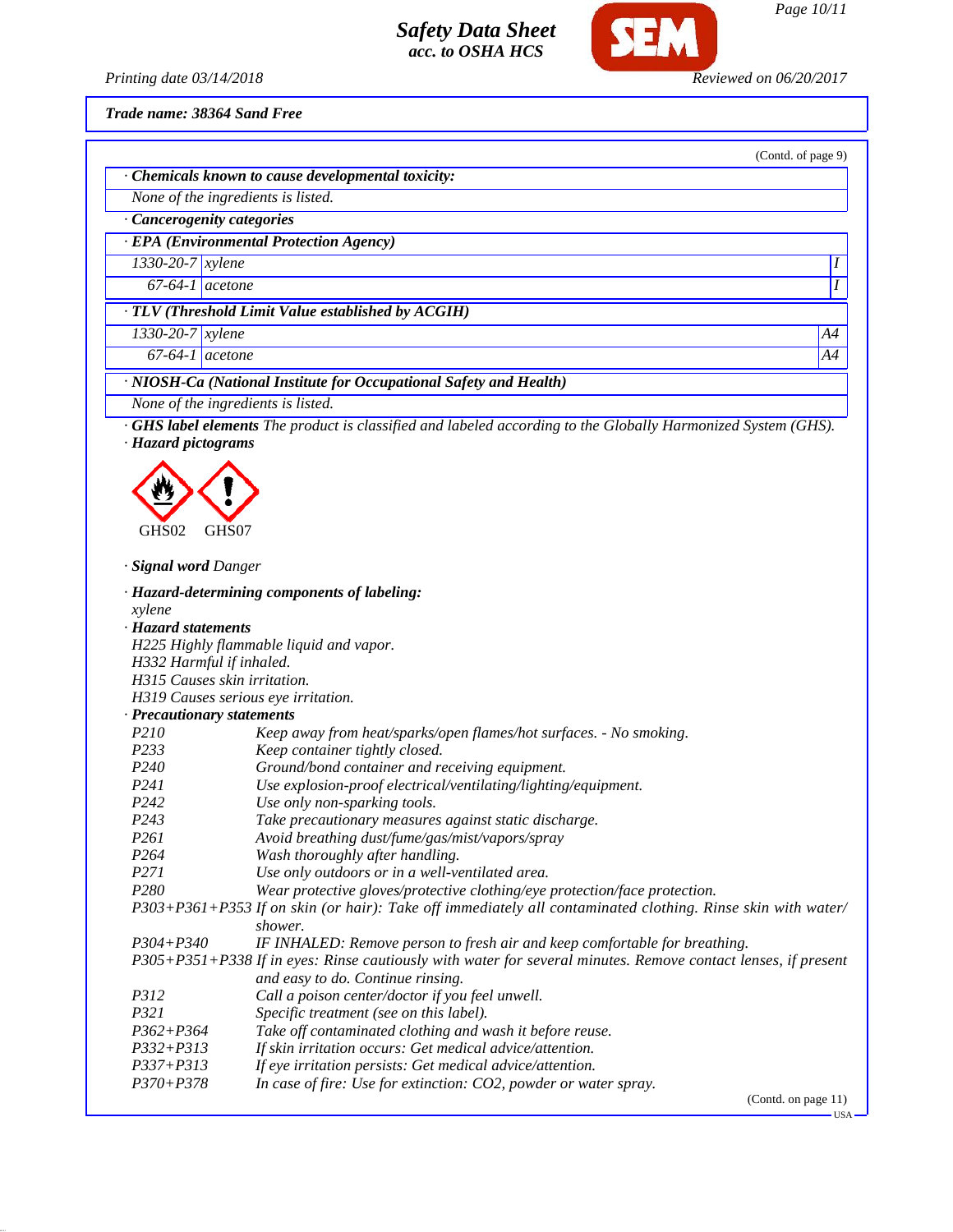

*Printing date 03/14/2018 Reviewed on 06/20/2017*

*Trade name: 38364 Sand Free*

|                              |                                                                                                                                                                                           | (Contd. of page 9) |
|------------------------------|-------------------------------------------------------------------------------------------------------------------------------------------------------------------------------------------|--------------------|
|                              | · Chemicals known to cause developmental toxicity:                                                                                                                                        |                    |
|                              | None of the ingredients is listed.                                                                                                                                                        |                    |
| · Cancerogenity categories   |                                                                                                                                                                                           |                    |
|                              | · EPA (Environmental Protection Agency)                                                                                                                                                   |                    |
| $1330 - 20 - 7$ xylene       |                                                                                                                                                                                           | Ι                  |
|                              |                                                                                                                                                                                           |                    |
| $67-64-1$ acetone            |                                                                                                                                                                                           |                    |
|                              | TLV (Threshold Limit Value established by ACGIH)                                                                                                                                          |                    |
| $1330 - 20 - 7$ xylene       |                                                                                                                                                                                           | A4                 |
| $67-64-1$ acetone            |                                                                                                                                                                                           | A4                 |
|                              | · NIOSH-Ca (National Institute for Occupational Safety and Health)                                                                                                                        |                    |
|                              | None of the ingredients is listed.                                                                                                                                                        |                    |
| · Hazard pictograms          | GHS label elements The product is classified and labeled according to the Globally Harmonized System (GHS).                                                                               |                    |
|                              |                                                                                                                                                                                           |                    |
|                              |                                                                                                                                                                                           |                    |
|                              |                                                                                                                                                                                           |                    |
| GHS02                        | GHS07                                                                                                                                                                                     |                    |
|                              |                                                                                                                                                                                           |                    |
| · <b>Signal word D</b> anger |                                                                                                                                                                                           |                    |
|                              | · Hazard-determining components of labeling:                                                                                                                                              |                    |
| xylene                       |                                                                                                                                                                                           |                    |
| · Hazard statements          |                                                                                                                                                                                           |                    |
|                              | H225 Highly flammable liquid and vapor.                                                                                                                                                   |                    |
| H332 Harmful if inhaled.     |                                                                                                                                                                                           |                    |
| H315 Causes skin irritation. |                                                                                                                                                                                           |                    |
|                              | H319 Causes serious eye irritation.                                                                                                                                                       |                    |
| · Precautionary statements   |                                                                                                                                                                                           |                    |
| P210                         | Keep away from heat/sparks/open flames/hot surfaces. - No smoking.                                                                                                                        |                    |
| P233                         | Keep container tightly closed.                                                                                                                                                            |                    |
| P <sub>240</sub>             | Ground/bond container and receiving equipment.                                                                                                                                            |                    |
| P241                         | Use explosion-proof electrical/ventilating/lighting/equipment.                                                                                                                            |                    |
| P242                         | Use only non-sparking tools.                                                                                                                                                              |                    |
|                              |                                                                                                                                                                                           |                    |
|                              |                                                                                                                                                                                           |                    |
| P243                         | Take precautionary measures against static discharge.                                                                                                                                     |                    |
| P261                         | Avoid breathing dust/fume/gas/mist/vapors/spray                                                                                                                                           |                    |
| P264                         | Wash thoroughly after handling.                                                                                                                                                           |                    |
| P271                         | Use only outdoors or in a well-ventilated area.                                                                                                                                           |                    |
| P280                         | Wear protective gloves/protective clothing/eye protection/face protection.<br>P303+P361+P353 If on skin (or hair): Take off immediately all contaminated clothing. Rinse skin with water/ |                    |
|                              | shower.                                                                                                                                                                                   |                    |
| $P304 + P340$                | IF INHALED: Remove person to fresh air and keep comfortable for breathing.                                                                                                                |                    |
|                              | P305+P351+P338 If in eyes: Rinse cautiously with water for several minutes. Remove contact lenses, if present<br>and easy to do. Continue rinsing.                                        |                    |
| P312                         |                                                                                                                                                                                           |                    |
|                              | Call a poison center/doctor if you feel unwell.                                                                                                                                           |                    |
| P321                         | Specific treatment (see on this label).                                                                                                                                                   |                    |
| $P362 + P364$                | Take off contaminated clothing and wash it before reuse.                                                                                                                                  |                    |
| $P332 + P313$                | If skin irritation occurs: Get medical advice/attention.                                                                                                                                  |                    |
| P337+P313<br>$P370 + P378$   | If eye irritation persists: Get medical advice/attention.<br>In case of fire: Use for extinction: CO2, powder or water spray.                                                             |                    |